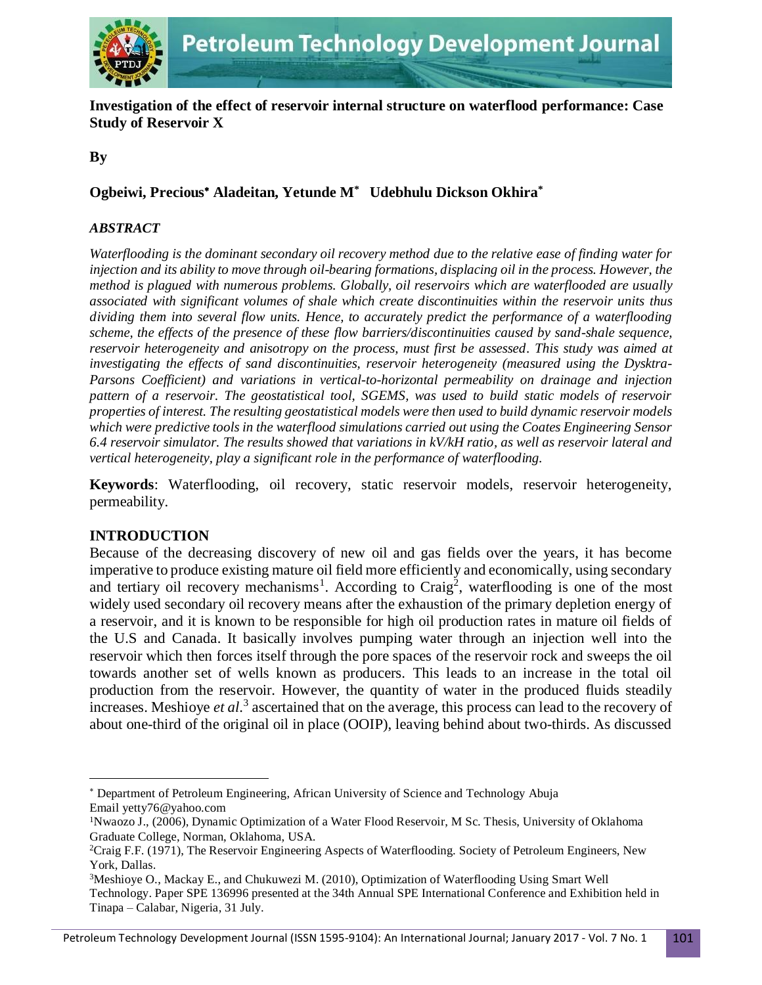

**Investigation of the effect of reservoir internal structure on waterflood performance: Case Study of Reservoir X**

**By**

## **Ogbeiwi, Precious Aladeitan, Yetunde M\* Udebhulu Dickson Okhira\***

#### *ABSTRACT*

*Waterflooding is the dominant secondary oil recovery method due to the relative ease of finding water for injection and its ability to move through oil-bearing formations, displacing oil in the process. However, the method is plagued with numerous problems. Globally, oil reservoirs which are waterflooded are usually associated with significant volumes of shale which create discontinuities within the reservoir units thus dividing them into several flow units. Hence, to accurately predict the performance of a waterflooding scheme, the effects of the presence of these flow barriers/discontinuities caused by sand-shale sequence, reservoir heterogeneity and anisotropy on the process, must first be assessed. This study was aimed at investigating the effects of sand discontinuities, reservoir heterogeneity (measured using the Dysktra-Parsons Coefficient) and variations in vertical-to-horizontal permeability on drainage and injection pattern of a reservoir. The geostatistical tool, SGEMS, was used to build static models of reservoir properties of interest. The resulting geostatistical models were then used to build dynamic reservoir models which were predictive tools in the waterflood simulations carried out using the Coates Engineering Sensor 6.4 reservoir simulator. The results showed that variations in kV/kH ratio, as well as reservoir lateral and vertical heterogeneity, play a significant role in the performance of waterflooding.*

**Keywords**: Waterflooding, oil recovery, static reservoir models, reservoir heterogeneity, permeability.

## **INTRODUCTION**

l

Because of the decreasing discovery of new oil and gas fields over the years, it has become imperative to produce existing mature oil field more efficiently and economically, using secondary and tertiary oil recovery mechanisms<sup>1</sup>. According to Craig<sup>2</sup>, waterflooding is one of the most widely used secondary oil recovery means after the exhaustion of the primary depletion energy of a reservoir, and it is known to be responsible for high oil production rates in mature oil fields of the U.S and Canada. It basically involves pumping water through an injection well into the reservoir which then forces itself through the pore spaces of the reservoir rock and sweeps the oil towards another set of wells known as producers. This leads to an increase in the total oil production from the reservoir. However, the quantity of water in the produced fluids steadily increases. Meshioye *et al*. 3 ascertained that on the average, this process can lead to the recovery of about one-third of the original oil in place (OOIP), leaving behind about two-thirds. As discussed

Department of Petroleum Engineering, African University of Science and Technology Abuja Email yetty76@yahoo.com

<sup>1</sup>Nwaozo J., (2006), Dynamic Optimization of a Water Flood Reservoir, M Sc. Thesis, University of Oklahoma Graduate College, Norman, Oklahoma, USA.

<sup>2</sup>Craig F.F. (1971), The Reservoir Engineering Aspects of Waterflooding. Society of Petroleum Engineers, New York, Dallas.

<sup>3</sup>Meshioye O., Mackay E., and Chukuwezi M. (2010), Optimization of Waterflooding Using Smart Well Technology. Paper SPE 136996 presented at the 34th Annual SPE International Conference and Exhibition held in Tinapa – Calabar, Nigeria, 31 July.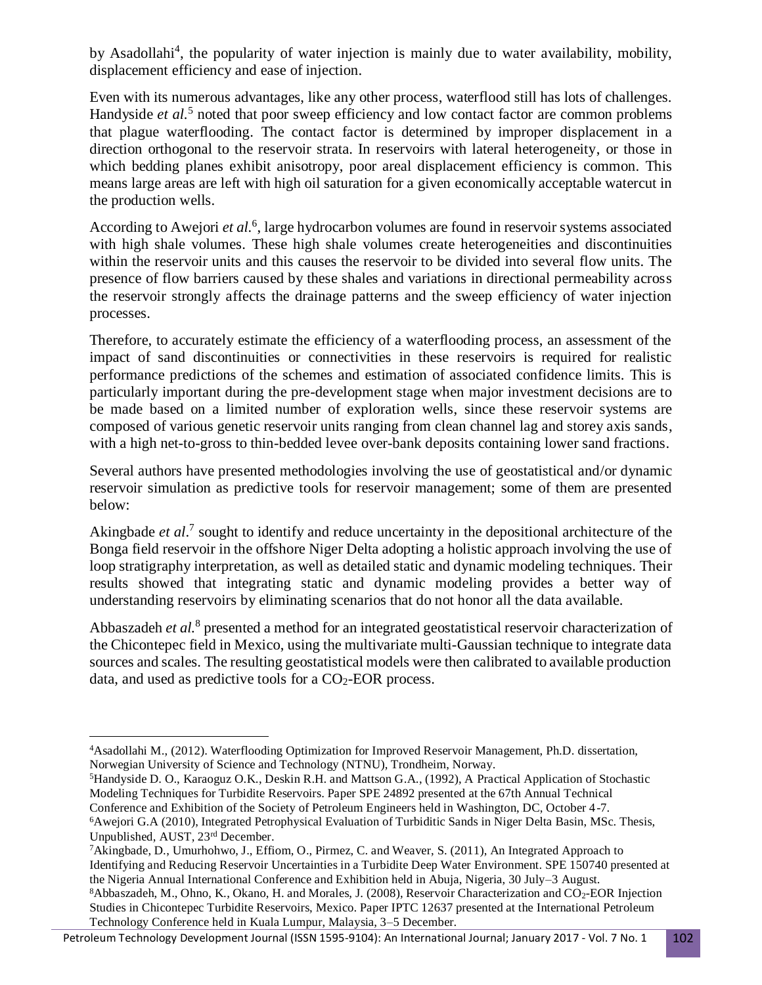by Asadollahi<sup>4</sup>, the popularity of water injection is mainly due to water availability, mobility, displacement efficiency and ease of injection.

Even with its numerous advantages, like any other process, waterflood still has lots of challenges. Handyside *et al.*<sup>5</sup> noted that poor sweep efficiency and low contact factor are common problems that plague waterflooding. The contact factor is determined by improper displacement in a direction orthogonal to the reservoir strata. In reservoirs with lateral heterogeneity, or those in which bedding planes exhibit anisotropy, poor areal displacement efficiency is common. This means large areas are left with high oil saturation for a given economically acceptable watercut in the production wells.

According to Awejori et al.<sup>6</sup>, large hydrocarbon volumes are found in reservoir systems associated with high shale volumes. These high shale volumes create heterogeneities and discontinuities within the reservoir units and this causes the reservoir to be divided into several flow units. The presence of flow barriers caused by these shales and variations in directional permeability across the reservoir strongly affects the drainage patterns and the sweep efficiency of water injection processes.

Therefore, to accurately estimate the efficiency of a waterflooding process, an assessment of the impact of sand discontinuities or connectivities in these reservoirs is required for realistic performance predictions of the schemes and estimation of associated confidence limits. This is particularly important during the pre-development stage when major investment decisions are to be made based on a limited number of exploration wells, since these reservoir systems are composed of various genetic reservoir units ranging from clean channel lag and storey axis sands, with a high net-to-gross to thin-bedded levee over-bank deposits containing lower sand fractions.

Several authors have presented methodologies involving the use of geostatistical and/or dynamic reservoir simulation as predictive tools for reservoir management; some of them are presented below:

Akingbade *et al*. 7 sought to identify and reduce uncertainty in the depositional architecture of the Bonga field reservoir in the offshore Niger Delta adopting a holistic approach involving the use of loop stratigraphy interpretation, as well as detailed static and dynamic modeling techniques. Their results showed that integrating static and dynamic modeling provides a better way of understanding reservoirs by eliminating scenarios that do not honor all the data available.

Abbaszadeh *et al.*<sup>8</sup> presented a method for an integrated geostatistical reservoir characterization of the Chicontepec field in Mexico, using the multivariate multi-Gaussian technique to integrate data sources and scales. The resulting geostatistical models were then calibrated to available production data, and used as predictive tools for a  $CO<sub>2</sub>$ -EOR process.

Technology Conference held in Kuala Lumpur, Malaysia, 3–5 December.

 $\overline{\phantom{a}}$ <sup>4</sup>Asadollahi M., (2012). Waterflooding Optimization for Improved Reservoir Management, Ph.D. dissertation, Norwegian University of Science and Technology (NTNU), Trondheim, Norway.

<sup>5</sup>Handyside D. O., Karaoguz O.K., Deskin R.H. and Mattson G.A., (1992), A Practical Application of Stochastic Modeling Techniques for Turbidite Reservoirs. Paper SPE 24892 presented at the 67th Annual Technical Conference and Exhibition of the Society of Petroleum Engineers held in Washington, DC, October 4-7. <sup>6</sup>Awejori G.A (2010), Integrated Petrophysical Evaluation of Turbiditic Sands in Niger Delta Basin, MSc. Thesis,

Unpublished, AUST, 23rd December.

<sup>7</sup>Akingbade, D., Umurhohwo, J., Effiom, O., Pirmez, C. and Weaver, S. (2011), An Integrated Approach to Identifying and Reducing Reservoir Uncertainties in a Turbidite Deep Water Environment. SPE 150740 presented at the Nigeria Annual International Conference and Exhibition held in Abuja, Nigeria, 30 July–3 August. <sup>8</sup>Abbaszadeh, M., Ohno, K., Okano, H. and Morales, J. (2008), Reservoir Characterization and CO2-EOR Injection Studies in Chicontepec Turbidite Reservoirs, Mexico. Paper IPTC 12637 presented at the International Petroleum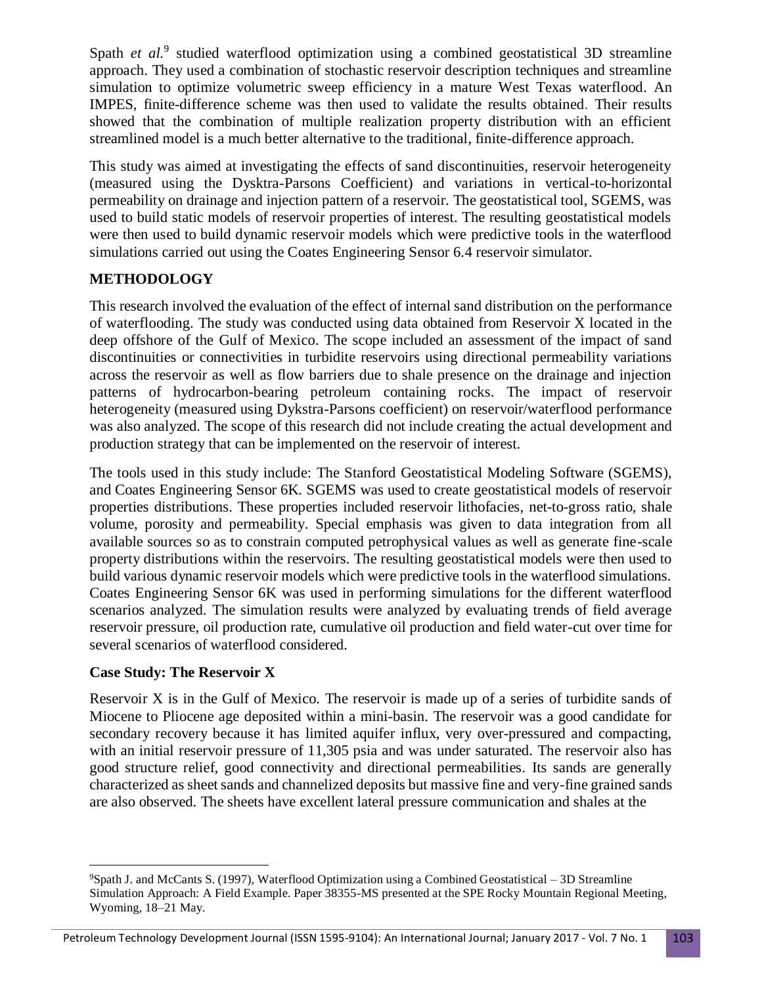Spath *et al.*<sup>9</sup> studied waterflood optimization using a combined geostatistical 3D streamline approach. They used a combination of stochastic reservoir description techniques and streamline simulation to optimize volumetric sweep efficiency in a mature West Texas waterflood. An IMPES, finite-difference scheme was then used to validate the results obtained. Their results showed that the combination of multiple realization property distribution with an efficient streamlined model is a much better alternative to the traditional, finite-difference approach.

This study was aimed at investigating the effects of sand discontinuities, reservoir heterogeneity (measured using the Dysktra-Parsons Coefficient) and variations in vertical-to-horizontal permeability on drainage and injection pattern of a reservoir. The geostatistical tool, SGEMS, was used to build static models of reservoir properties of interest. The resulting geostatistical models were then used to build dynamic reservoir models which were predictive tools in the waterflood simulations carried out using the Coates Engineering Sensor 6.4 reservoir simulator.

# **METHODOLOGY**

This research involved the evaluation of the effect of internal sand distribution on the performance of waterflooding. The study was conducted using data obtained from Reservoir X located in the deep offshore of the Gulf of Mexico. The scope included an assessment of the impact of sand discontinuities or connectivities in turbidite reservoirs using directional permeability variations across the reservoir as well as flow barriers due to shale presence on the drainage and injection patterns of hydrocarbon-bearing petroleum containing rocks. The impact of reservoir heterogeneity (measured using Dykstra-Parsons coefficient) on reservoir/waterflood performance was also analyzed. The scope of this research did not include creating the actual development and production strategy that can be implemented on the reservoir of interest.

The tools used in this study include: The Stanford Geostatistical Modeling Software (SGEMS), and Coates Engineering Sensor 6K. SGEMS was used to create geostatistical models of reservoir properties distributions. These properties included reservoir lithofacies, net-to-gross ratio, shale volume, porosity and permeability. Special emphasis was given to data integration from all available sources so as to constrain computed petrophysical values as well as generate fine-scale property distributions within the reservoirs. The resulting geostatistical models were then used to build various dynamic reservoir models which were predictive tools in the waterflood simulations. Coates Engineering Sensor 6K was used in performing simulations for the different waterflood scenarios analyzed. The simulation results were analyzed by evaluating trends of field average reservoir pressure, oil production rate, cumulative oil production and field water-cut over time for several scenarios of waterflood considered.

## **Case Study: The Reservoir X**

Reservoir X is in the Gulf of Mexico. The reservoir is made up of a series of turbidite sands of Miocene to Pliocene age deposited within a mini-basin. The reservoir was a good candidate for secondary recovery because it has limited aquifer influx, very over-pressured and compacting, with an initial reservoir pressure of 11,305 psia and was under saturated. The reservoir also has good structure relief, good connectivity and directional permeabilities. Its sands are generally characterized as sheet sands and channelized deposits but massive fine and very-fine grained sands are also observed. The sheets have excellent lateral pressure communication and shales at the

 $\overline{\phantom{a}}$ <sup>9</sup>Spath J. and McCants S. (1997), Waterflood Optimization using a Combined Geostatistical – 3D Streamline Simulation Approach: A Field Example. Paper 38355-MS presented at the SPE Rocky Mountain Regional Meeting, Wyoming, 18–21 May.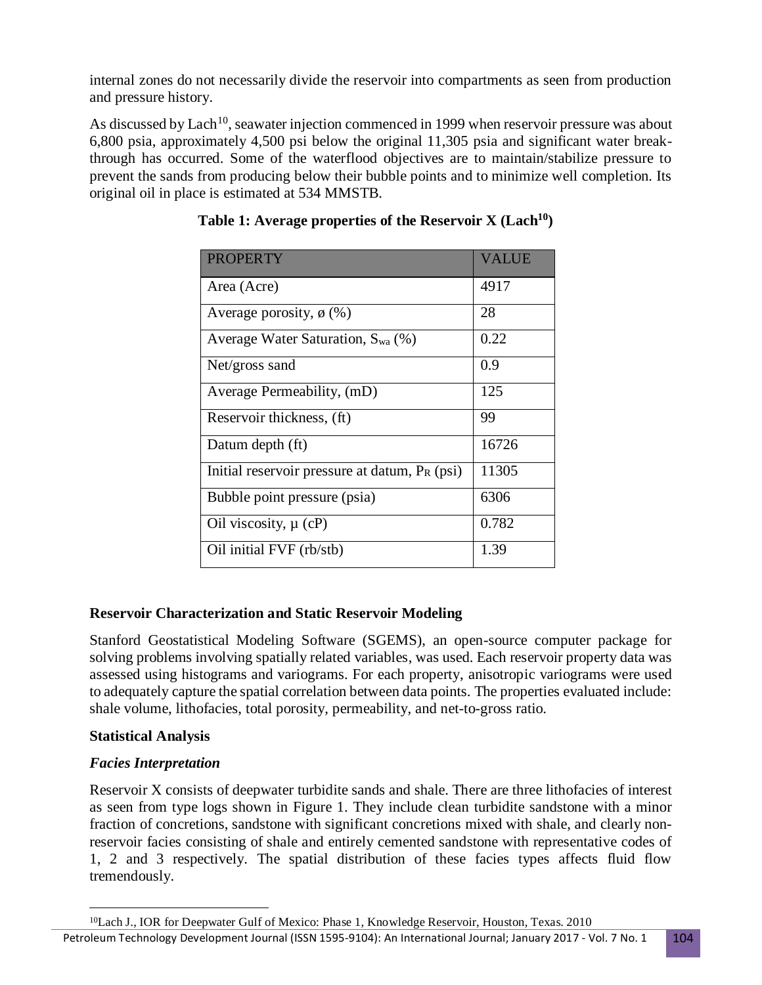internal zones do not necessarily divide the reservoir into compartments as seen from production and pressure history.

As discussed by Lach<sup>10</sup>, seawater injection commenced in 1999 when reservoir pressure was about 6,800 psia, approximately 4,500 psi below the original 11,305 psia and significant water breakthrough has occurred. Some of the waterflood objectives are to maintain/stabilize pressure to prevent the sands from producing below their bubble points and to minimize well completion. Its original oil in place is estimated at 534 MMSTB.

| <b>PROPERTY</b>                                  | <b>VALUE</b> |
|--------------------------------------------------|--------------|
| Area (Acre)                                      | 4917         |
| Average porosity, $\phi$ (%)                     | 28           |
| Average Water Saturation, $S_{wa}$ (%)           | 0.22         |
| Net/gross sand                                   | 0.9          |
| Average Permeability, (mD)                       | 125          |
| Reservoir thickness, (ft)                        | 99           |
| Datum depth (ft)                                 | 16726        |
| Initial reservoir pressure at datum, $P_R$ (psi) | 11305        |
| Bubble point pressure (psia)                     | 6306         |
| Oil viscosity, $\mu$ (cP)                        | 0.782        |
| Oil initial FVF (rb/stb)                         | 1.39         |

 **Table 1: Average properties of the Reservoir X (Lach<sup>10</sup>)**

# **Reservoir Characterization and Static Reservoir Modeling**

Stanford Geostatistical Modeling Software (SGEMS), an open-source computer package for solving problems involving spatially related variables, was used. Each reservoir property data was assessed using histograms and variograms. For each property, anisotropic variograms were used to adequately capture the spatial correlation between data points. The properties evaluated include: shale volume, lithofacies, total porosity, permeability, and net-to-gross ratio.

# **Statistical Analysis**

# *Facies Interpretation*

 $\overline{\phantom{a}}$ 

Reservoir X consists of deepwater turbidite sands and shale. There are three lithofacies of interest as seen from type logs shown in Figure 1. They include clean turbidite sandstone with a minor fraction of concretions, sandstone with significant concretions mixed with shale, and clearly nonreservoir facies consisting of shale and entirely cemented sandstone with representative codes of 1, 2 and 3 respectively. The spatial distribution of these facies types affects fluid flow tremendously.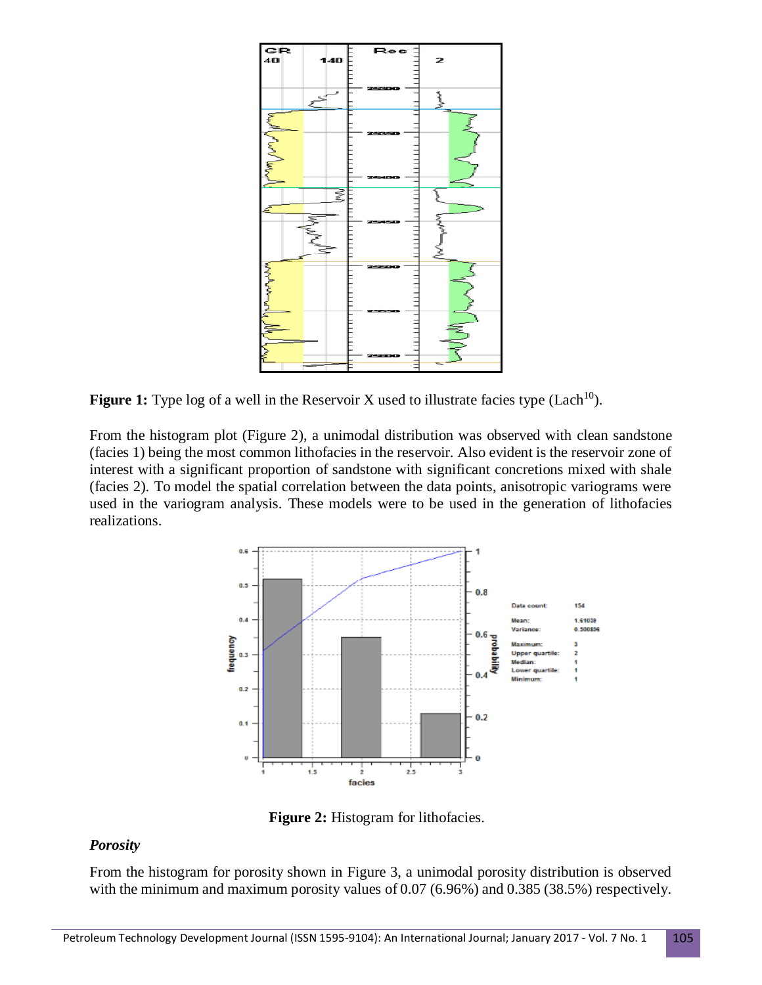

**Figure 1:** Type log of a well in the Reservoir X used to illustrate facies type  $(Lach<sup>10</sup>)$ .

From the histogram plot (Figure 2), a unimodal distribution was observed with clean sandstone (facies 1) being the most common lithofacies in the reservoir. Also evident is the reservoir zone of interest with a significant proportion of sandstone with significant concretions mixed with shale (facies 2). To model the spatial correlation between the data points, anisotropic variograms were used in the variogram analysis. These models were to be used in the generation of lithofacies realizations.



**Figure 2:** Histogram for lithofacies.

## *Porosity*

From the histogram for porosity shown in Figure 3, a unimodal porosity distribution is observed with the minimum and maximum porosity values of 0.07 (6.96%) and 0.385 (38.5%) respectively.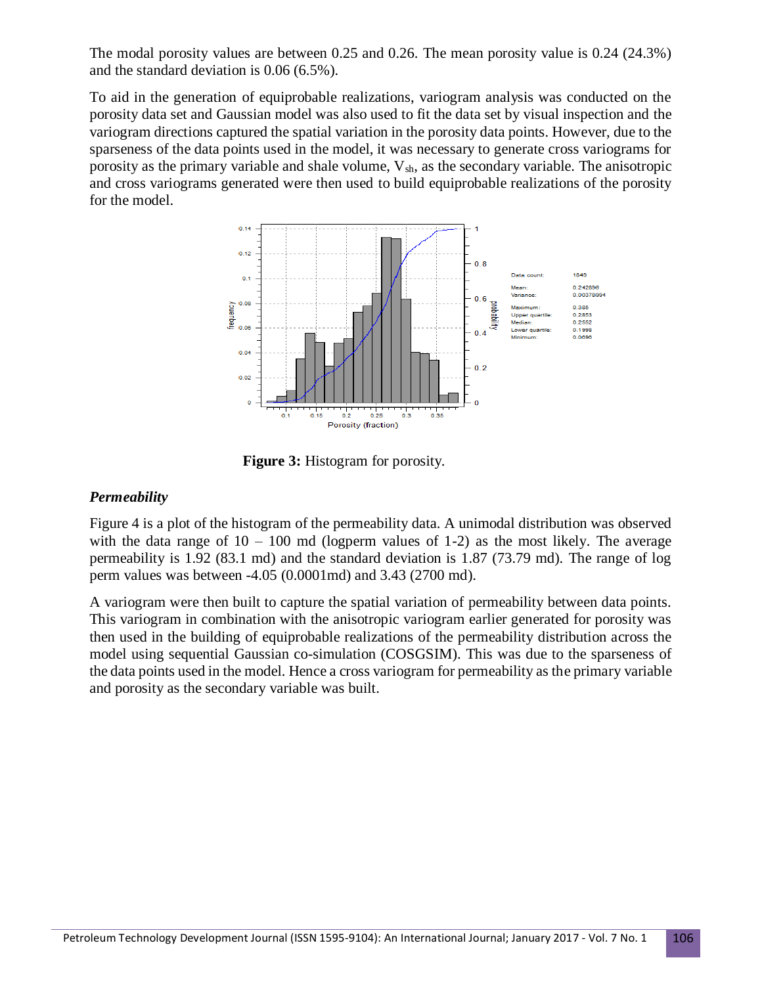The modal porosity values are between 0.25 and 0.26. The mean porosity value is 0.24 (24.3%) and the standard deviation is 0.06 (6.5%).

To aid in the generation of equiprobable realizations, variogram analysis was conducted on the porosity data set and Gaussian model was also used to fit the data set by visual inspection and the variogram directions captured the spatial variation in the porosity data points. However, due to the sparseness of the data points used in the model, it was necessary to generate cross variograms for porosity as the primary variable and shale volume,  $V_{sh}$ , as the secondary variable. The anisotropic and cross variograms generated were then used to build equiprobable realizations of the porosity for the model.



**Figure 3:** Histogram for porosity.

### *Permeability*

Figure 4 is a plot of the histogram of the permeability data. A unimodal distribution was observed with the data range of  $10 - 100$  md (logperm values of 1-2) as the most likely. The average permeability is 1.92 (83.1 md) and the standard deviation is 1.87 (73.79 md). The range of log perm values was between -4.05 (0.0001md) and 3.43 (2700 md).

A variogram were then built to capture the spatial variation of permeability between data points. This variogram in combination with the anisotropic variogram earlier generated for porosity was then used in the building of equiprobable realizations of the permeability distribution across the model using sequential Gaussian co-simulation (COSGSIM). This was due to the sparseness of the data points used in the model. Hence a cross variogram for permeability as the primary variable and porosity as the secondary variable was built.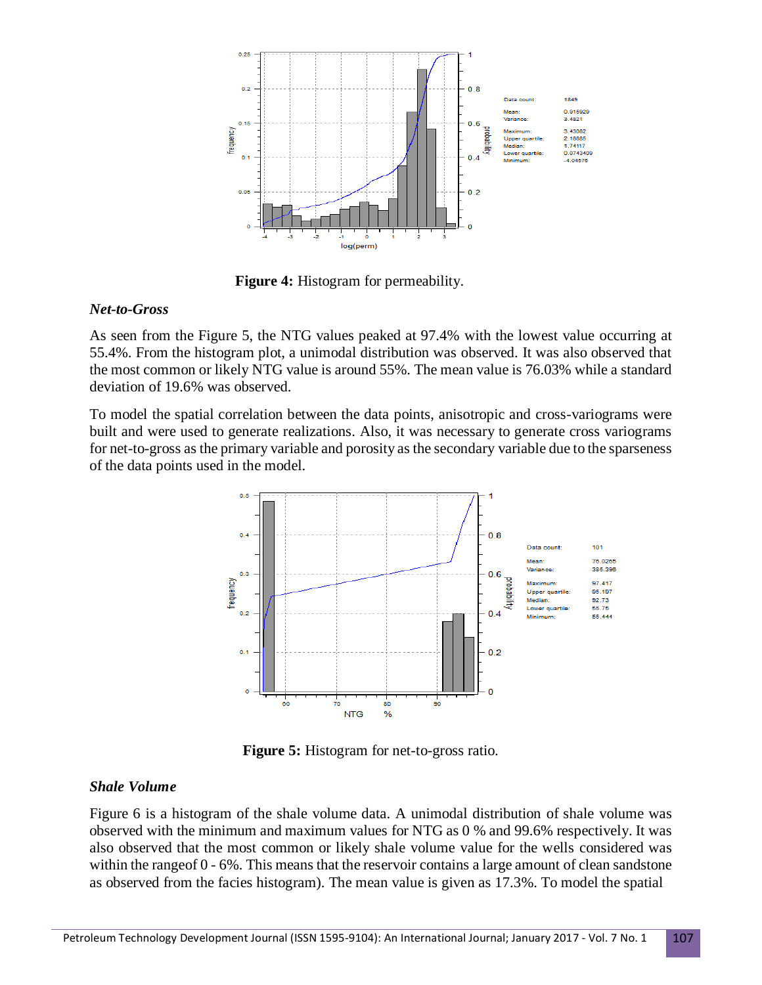

**Figure 4:** Histogram for permeability.

#### *Net-to-Gross*

As seen from the Figure 5, the NTG values peaked at 97.4% with the lowest value occurring at 55.4%. From the histogram plot, a unimodal distribution was observed. It was also observed that the most common or likely NTG value is around 55%. The mean value is 76.03% while a standard deviation of 19.6% was observed.

To model the spatial correlation between the data points, anisotropic and cross-variograms were built and were used to generate realizations. Also, it was necessary to generate cross variograms for net-to-gross as the primary variable and porosity as the secondary variable due to the sparseness of the data points used in the model.



 **Figure 5:** Histogram for net-to-gross ratio.

#### *Shale Volume*

Figure 6 is a histogram of the shale volume data. A unimodal distribution of shale volume was observed with the minimum and maximum values for NTG as 0 % and 99.6% respectively. It was also observed that the most common or likely shale volume value for the wells considered was within the rangeof 0 - 6%. This means that the reservoir contains a large amount of clean sandstone as observed from the facies histogram). The mean value is given as 17.3%. To model the spatial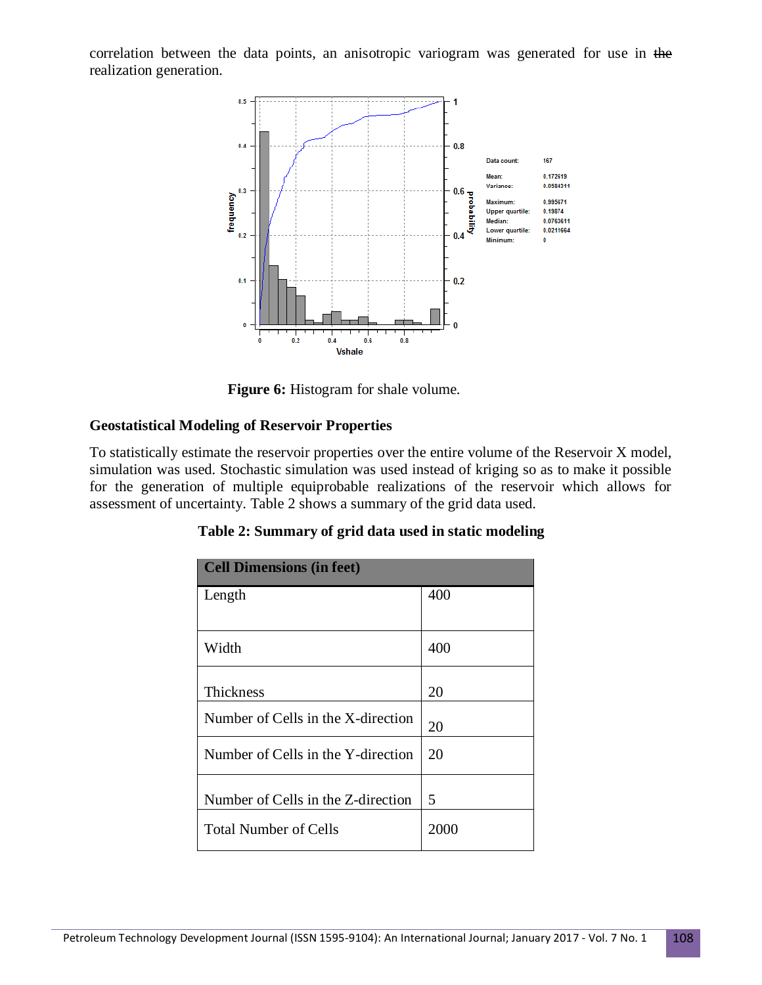correlation between the data points, an anisotropic variogram was generated for use in the realization generation.



**Figure 6:** Histogram for shale volume.

## **Geostatistical Modeling of Reservoir Properties**

To statistically estimate the reservoir properties over the entire volume of the Reservoir X model, simulation was used. Stochastic simulation was used instead of kriging so as to make it possible for the generation of multiple equiprobable realizations of the reservoir which allows for assessment of uncertainty. Table 2 shows a summary of the grid data used.

| <b>Cell Dimensions (in feet)</b>   |      |  |  |  |
|------------------------------------|------|--|--|--|
| Length                             | 400  |  |  |  |
|                                    |      |  |  |  |
| Width                              | 400  |  |  |  |
|                                    |      |  |  |  |
| <b>Thickness</b>                   | 20   |  |  |  |
| Number of Cells in the X-direction | 20   |  |  |  |
| Number of Cells in the Y-direction | 20   |  |  |  |
| Number of Cells in the Z-direction | 5    |  |  |  |
|                                    |      |  |  |  |
| <b>Total Number of Cells</b>       | 2000 |  |  |  |

| Table 2: Summary of grid data used in static modeling |  |  |
|-------------------------------------------------------|--|--|
|                                                       |  |  |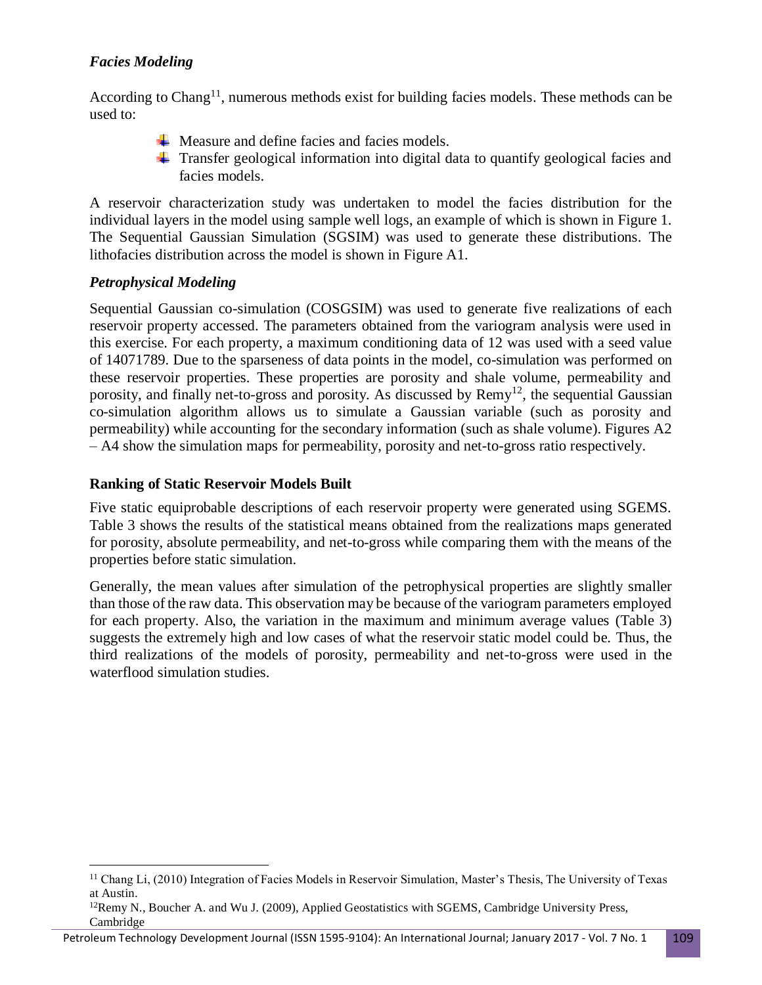# *Facies Modeling*

According to Chang<sup>11</sup>, numerous methods exist for building facies models. These methods can be used to:

- $\overline{\text{M}}$  Measure and define facies and facies models.
- $\pm$  Transfer geological information into digital data to quantify geological facies and facies models.

A reservoir characterization study was undertaken to model the facies distribution for the individual layers in the model using sample well logs, an example of which is shown in Figure 1. The Sequential Gaussian Simulation (SGSIM) was used to generate these distributions. The lithofacies distribution across the model is shown in Figure A1.

## *Petrophysical Modeling*

 $\overline{\phantom{a}}$ 

Sequential Gaussian co-simulation (COSGSIM) was used to generate five realizations of each reservoir property accessed. The parameters obtained from the variogram analysis were used in this exercise. For each property, a maximum conditioning data of 12 was used with a seed value of 14071789. Due to the sparseness of data points in the model, co-simulation was performed on these reservoir properties. These properties are porosity and shale volume, permeability and porosity, and finally net-to-gross and porosity. As discussed by Remy<sup>12</sup>, the sequential Gaussian co-simulation algorithm allows us to simulate a Gaussian variable (such as porosity and permeability) while accounting for the secondary information (such as shale volume). Figures A2 – A4 show the simulation maps for permeability, porosity and net-to-gross ratio respectively.

## **Ranking of Static Reservoir Models Built**

Five static equiprobable descriptions of each reservoir property were generated using SGEMS. Table 3 shows the results of the statistical means obtained from the realizations maps generated for porosity, absolute permeability, and net-to-gross while comparing them with the means of the properties before static simulation.

Generally, the mean values after simulation of the petrophysical properties are slightly smaller than those of the raw data. This observation may be because of the variogram parameters employed for each property. Also, the variation in the maximum and minimum average values (Table 3) suggests the extremely high and low cases of what the reservoir static model could be. Thus, the third realizations of the models of porosity, permeability and net-to-gross were used in the waterflood simulation studies.

<sup>&</sup>lt;sup>11</sup> Chang Li, (2010) Integration of Facies Models in Reservoir Simulation, Master's Thesis, The University of Texas at Austin.

 $12$ Remy N., Boucher A. and Wu J. (2009), Applied Geostatistics with SGEMS, Cambridge University Press, Cambridge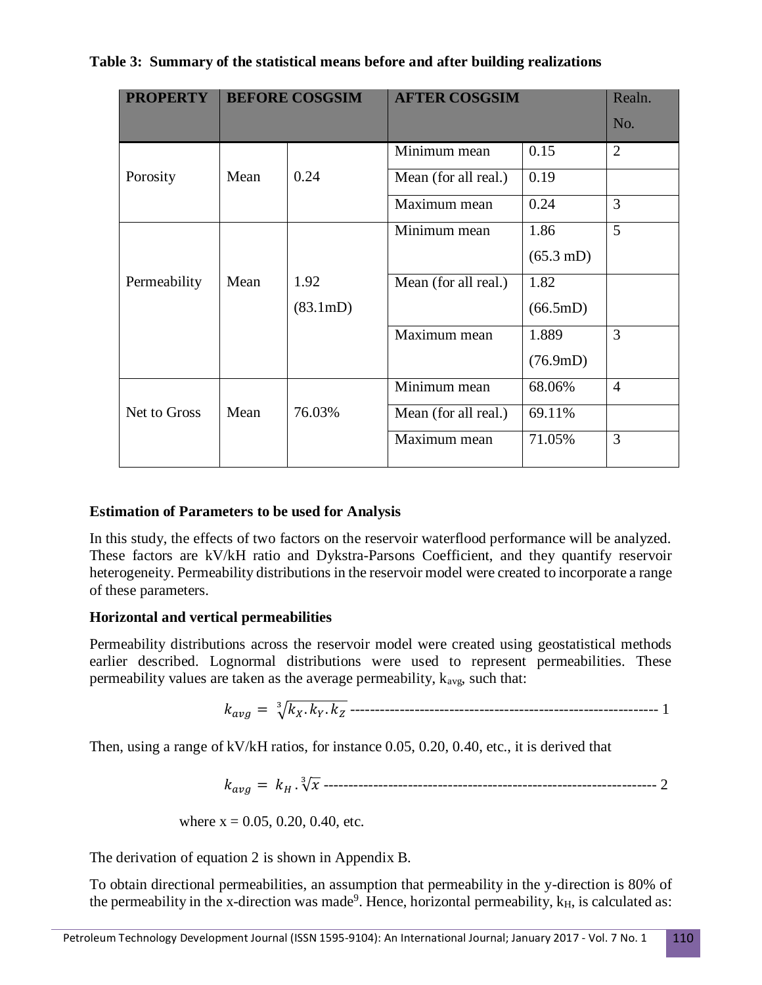|  |  |  | Table 3: Summary of the statistical means before and after building realizations |  |  |  |
|--|--|--|----------------------------------------------------------------------------------|--|--|--|
|--|--|--|----------------------------------------------------------------------------------|--|--|--|

| <b>PROPERTY</b> | <b>BEFORE COSGSIM</b> |                    | <b>AFTER COSGSIM</b> |                     | Realn.         |
|-----------------|-----------------------|--------------------|----------------------|---------------------|----------------|
|                 |                       |                    |                      |                     | No.            |
|                 |                       |                    | Minimum mean         | 0.15                | $\overline{2}$ |
| Porosity        | Mean                  | 0.24               | Mean (for all real.) | 0.19                |                |
|                 |                       |                    | Maximum mean         | 0.24                | 3              |
|                 |                       |                    | Minimum mean         | 1.86                | 5              |
|                 |                       |                    |                      | $(65.3 \text{ mD})$ |                |
| Permeability    | Mean                  | 1.92               | Mean (for all real.) | 1.82                |                |
|                 |                       | $(83.1 \text{mD})$ |                      | $(66.5 \text{mD})$  |                |
|                 |                       |                    | Maximum mean         | 1.889               | 3              |
|                 |                       |                    |                      | $(76.9 \text{mD})$  |                |
|                 |                       |                    | Minimum mean         | 68.06%              | $\overline{4}$ |
| Net to Gross    | Mean                  | 76.03%             | Mean (for all real.) | 69.11%              |                |
|                 |                       |                    | Maximum mean         | 71.05%              | 3              |

#### **Estimation of Parameters to be used for Analysis**

In this study, the effects of two factors on the reservoir waterflood performance will be analyzed. These factors are kV/kH ratio and Dykstra-Parsons Coefficient, and they quantify reservoir heterogeneity. Permeability distributions in the reservoir model were created to incorporate a range of these parameters.

#### **Horizontal and vertical permeabilities**

Permeability distributions across the reservoir model were created using geostatistical methods earlier described. Lognormal distributions were used to represent permeabilities. These permeability values are taken as the average permeability,  $k_{\text{ave}}$ , such that:

$$
k_{avg} = \sqrt[3]{k_X.k_Y.k_Z}
$$
.................  
.................  
.................  
1

Then, using a range of kV/kH ratios, for instance 0.05, 0.20, 0.40, etc., it is derived that

 = . √ 3 ------------------------------------------------------------------- 2

where 
$$
x = 0.05, 0.20, 0.40
$$
, etc.

The derivation of equation 2 is shown in Appendix B.

To obtain directional permeabilities, an assumption that permeability in the y-direction is 80% of the permeability in the x-direction was made<sup>9</sup>. Hence, horizontal permeability,  $k_H$ , is calculated as: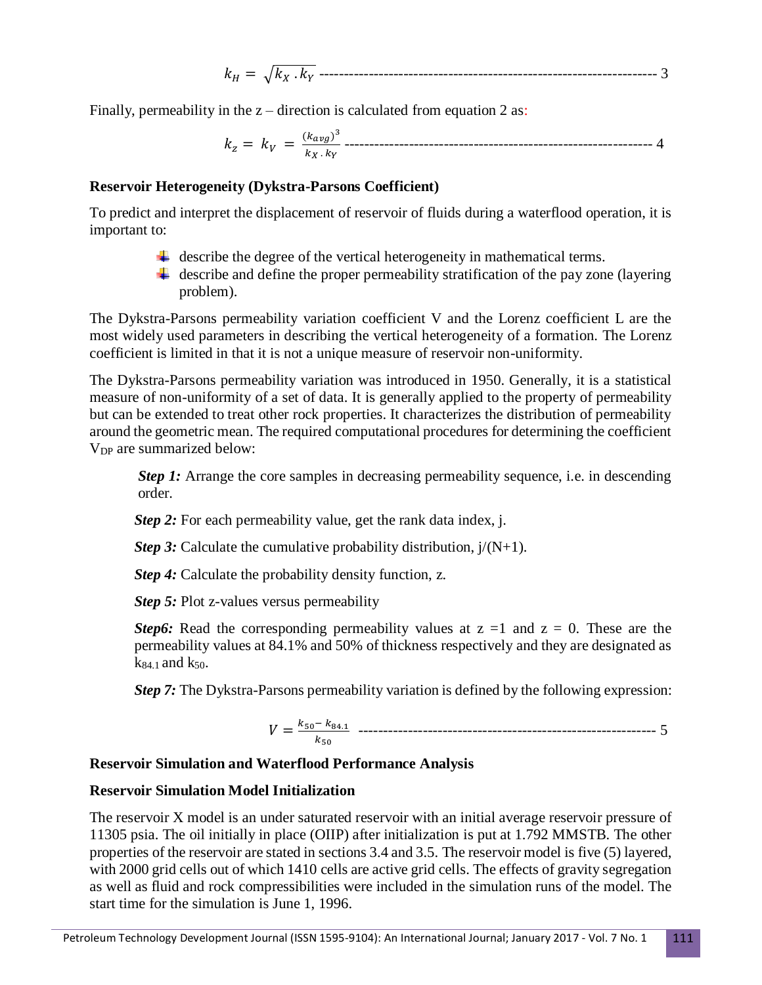$$
k_H = \sqrt{k_X \cdot k_Y}
$$
-----  
-----  
-----  
-----  
-----  
-----  
-----  
-----  
-----  
 3

Finally, permeability in the  $z -$  direction is calculated from equation 2 as:

$$
k_z = k_V = \frac{(k_{avg})^3}{k_X \cdot k_Y}
$$
.................  
1

#### **Reservoir Heterogeneity (Dykstra-Parsons Coefficient)**

To predict and interpret the displacement of reservoir of fluids during a waterflood operation, it is important to:

- $\downarrow$  describe the degree of the vertical heterogeneity in mathematical terms.
- $\ddot{+}$  describe and define the proper permeability stratification of the pay zone (layering problem).

The Dykstra-Parsons permeability variation coefficient V and the Lorenz coefficient L are the most widely used parameters in describing the vertical heterogeneity of a formation. The Lorenz coefficient is limited in that it is not a unique measure of reservoir non-uniformity.

The Dykstra-Parsons permeability variation was introduced in 1950. Generally, it is a statistical measure of non-uniformity of a set of data. It is generally applied to the property of permeability but can be extended to treat other rock properties. It characterizes the distribution of permeability around the geometric mean. The required computational procedures for determining the coefficient V<sub>DP</sub> are summarized below:

*Step 1:* Arrange the core samples in decreasing permeability sequence, i.e. in descending order.

*Step 2:* For each permeability value, get the rank data index, j.

*Step 3:* Calculate the cumulative probability distribution,  $j/(N+1)$ .

*Step 4:* Calculate the probability density function, z.

*Step 5:* Plot z-values versus permeability

*Step6:* Read the corresponding permeability values at  $z = 1$  and  $z = 0$ . These are the permeability values at 84.1% and 50% of thickness respectively and they are designated as  $k_{84.1}$  and  $k_{50.1}$ 

*Step 7:* The Dykstra-Parsons permeability variation is defined by the following expression:

 = 50− 84.1 <sup>50</sup> ------------------------------------------------------------ 5

## **Reservoir Simulation and Waterflood Performance Analysis**

#### **Reservoir Simulation Model Initialization**

The reservoir X model is an under saturated reservoir with an initial average reservoir pressure of 11305 psia. The oil initially in place (OIIP) after initialization is put at 1.792 MMSTB. The other properties of the reservoir are stated in sections 3.4 and 3.5. The reservoir model is five (5) layered, with 2000 grid cells out of which 1410 cells are active grid cells. The effects of gravity segregation as well as fluid and rock compressibilities were included in the simulation runs of the model. The start time for the simulation is June 1, 1996.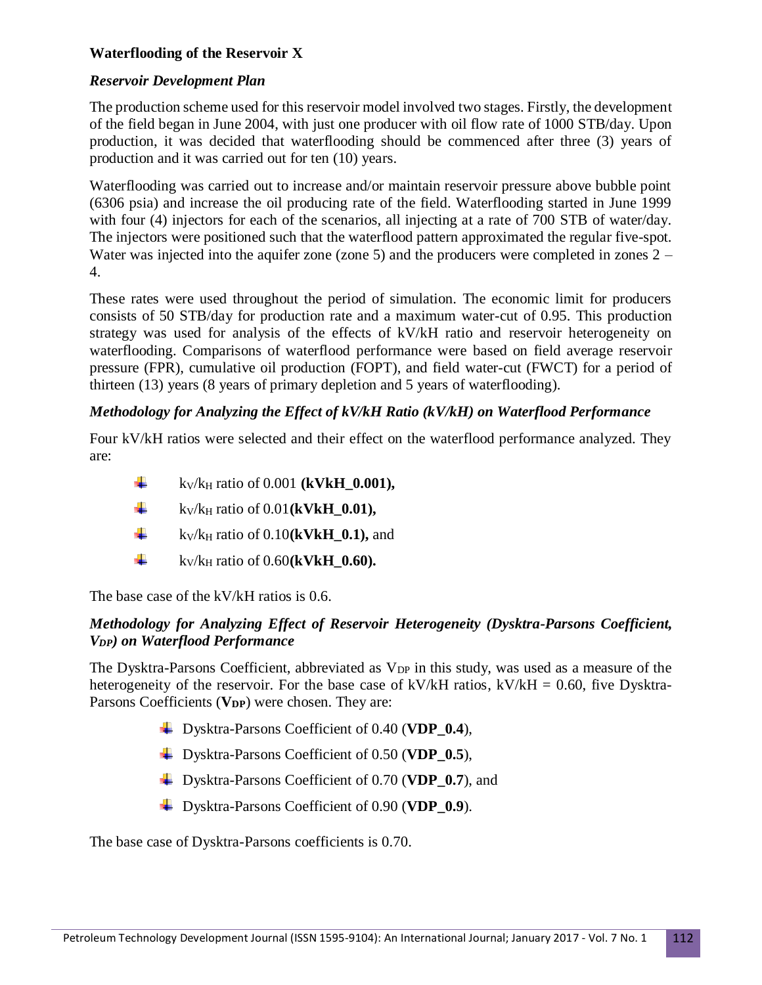## **Waterflooding of the Reservoir X**

### *Reservoir Development Plan*

The production scheme used for this reservoir model involved two stages. Firstly, the development of the field began in June 2004, with just one producer with oil flow rate of 1000 STB/day. Upon production, it was decided that waterflooding should be commenced after three (3) years of production and it was carried out for ten (10) years.

Waterflooding was carried out to increase and/or maintain reservoir pressure above bubble point (6306 psia) and increase the oil producing rate of the field. Waterflooding started in June 1999 with four (4) injectors for each of the scenarios, all injecting at a rate of 700 STB of water/day. The injectors were positioned such that the waterflood pattern approximated the regular five-spot. Water was injected into the aquifer zone (zone 5) and the producers were completed in zones 2 – 4.

These rates were used throughout the period of simulation. The economic limit for producers consists of 50 STB/day for production rate and a maximum water-cut of 0.95. This production strategy was used for analysis of the effects of kV/kH ratio and reservoir heterogeneity on waterflooding. Comparisons of waterflood performance were based on field average reservoir pressure (FPR), cumulative oil production (FOPT), and field water-cut (FWCT) for a period of thirteen (13) years (8 years of primary depletion and 5 years of waterflooding).

### *Methodology for Analyzing the Effect of kV/kH Ratio (kV/kH) on Waterflood Performance*

Four kV/kH ratios were selected and their effect on the waterflood performance analyzed. They are:

- ₩. kV/k<sup>H</sup> ratio of 0.001 **(kVkH\_0.001),**
- ۰. kV/k<sup>H</sup> ratio of 0.01**(kVkH\_0.01),**
- ۰. kV/k<sup>H</sup> ratio of 0.10**(kVkH\_0.1),** and
- ۰. kV/k<sup>H</sup> ratio of 0.60**(kVkH\_0.60).**

The base case of the kV/kH ratios is 0.6.

### *Methodology for Analyzing Effect of Reservoir Heterogeneity (Dysktra-Parsons Coefficient, VDP) on Waterflood Performance*

The Dysktra-Parsons Coefficient, abbreviated as  $V_{DP}$  in this study, was used as a measure of the heterogeneity of the reservoir. For the base case of kV/kH ratios, kV/kH = 0.60, five Dysktra-Parsons Coefficients (**VDP**) were chosen. They are:

- Dysktra-Parsons Coefficient of 0.40 (**VDP\_0.4**),
- Dysktra-Parsons Coefficient of 0.50 (**VDP\_0.5**),
- Dysktra-Parsons Coefficient of 0.70 (**VDP\_0.7**), and
- Dysktra-Parsons Coefficient of 0.90 (**VDP\_0.9**).

The base case of Dysktra-Parsons coefficients is 0.70.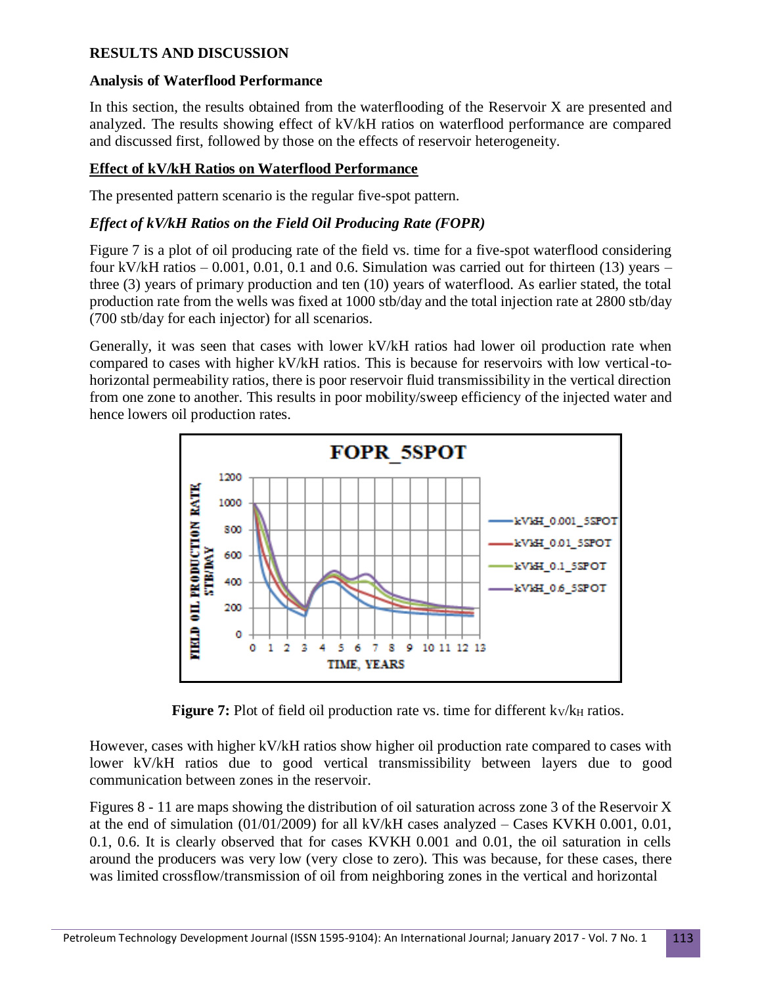## **RESULTS AND DISCUSSION**

## **Analysis of Waterflood Performance**

In this section, the results obtained from the waterflooding of the Reservoir X are presented and analyzed. The results showing effect of kV/kH ratios on waterflood performance are compared and discussed first, followed by those on the effects of reservoir heterogeneity.

## **Effect of kV/kH Ratios on Waterflood Performance**

The presented pattern scenario is the regular five-spot pattern.

## *Effect of kV/kH Ratios on the Field Oil Producing Rate (FOPR)*

Figure 7 is a plot of oil producing rate of the field vs. time for a five-spot waterflood considering four kV/kH ratios  $-0.001$ , 0.01, 0.1 and 0.6. Simulation was carried out for thirteen (13) years  $$ three (3) years of primary production and ten (10) years of waterflood. As earlier stated, the total production rate from the wells was fixed at 1000 stb/day and the total injection rate at 2800 stb/day (700 stb/day for each injector) for all scenarios.

Generally, it was seen that cases with lower kV/kH ratios had lower oil production rate when compared to cases with higher kV/kH ratios. This is because for reservoirs with low vertical-tohorizontal permeability ratios, there is poor reservoir fluid transmissibility in the vertical direction from one zone to another. This results in poor mobility/sweep efficiency of the injected water and hence lowers oil production rates.



**Figure 7:** Plot of field oil production rate vs. time for different  $k_V/k_H$  ratios.

However, cases with higher kV/kH ratios show higher oil production rate compared to cases with lower kV/kH ratios due to good vertical transmissibility between layers due to good communication between zones in the reservoir.

Figures 8 - 11 are maps showing the distribution of oil saturation across zone 3 of the Reservoir X at the end of simulation (01/01/2009) for all kV/kH cases analyzed – Cases KVKH 0.001, 0.01, 0.1, 0.6. It is clearly observed that for cases KVKH 0.001 and 0.01, the oil saturation in cells around the producers was very low (very close to zero). This was because, for these cases, there was limited crossflow/transmission of oil from neighboring zones in the vertical and horizontal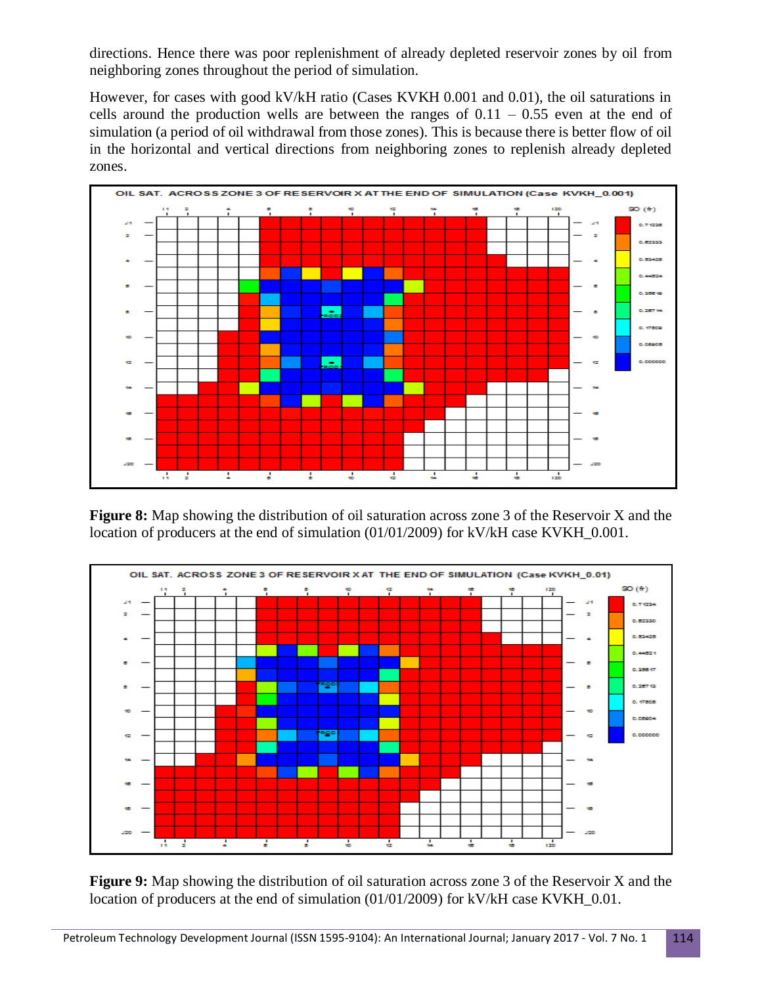directions. Hence there was poor replenishment of already depleted reservoir zones by oil from neighboring zones throughout the period of simulation.

However, for cases with good kV/kH ratio (Cases KVKH 0.001 and 0.01), the oil saturations in cells around the production wells are between the ranges of  $0.11 - 0.55$  even at the end of simulation (a period of oil withdrawal from those zones). This is because there is better flow of oil in the horizontal and vertical directions from neighboring zones to replenish already depleted zones.



**Figure 8:** Map showing the distribution of oil saturation across zone 3 of the Reservoir X and the location of producers at the end of simulation (01/01/2009) for kV/kH case KVKH\_0.001.



**Figure 9:** Map showing the distribution of oil saturation across zone 3 of the Reservoir X and the location of producers at the end of simulation (01/01/2009) for kV/kH case KVKH 0.01.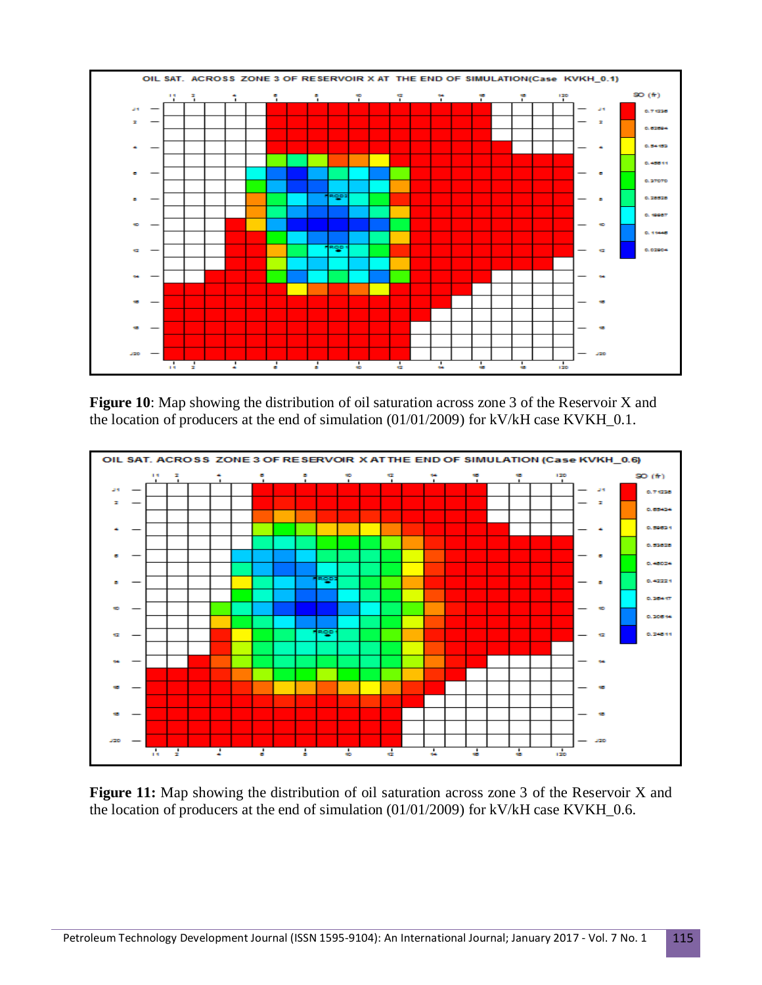

**Figure 10**: Map showing the distribution of oil saturation across zone 3 of the Reservoir X and the location of producers at the end of simulation (01/01/2009) for kV/kH case KVKH\_0.1.



Figure 11: Map showing the distribution of oil saturation across zone 3 of the Reservoir X and the location of producers at the end of simulation (01/01/2009) for kV/kH case KVKH\_0.6.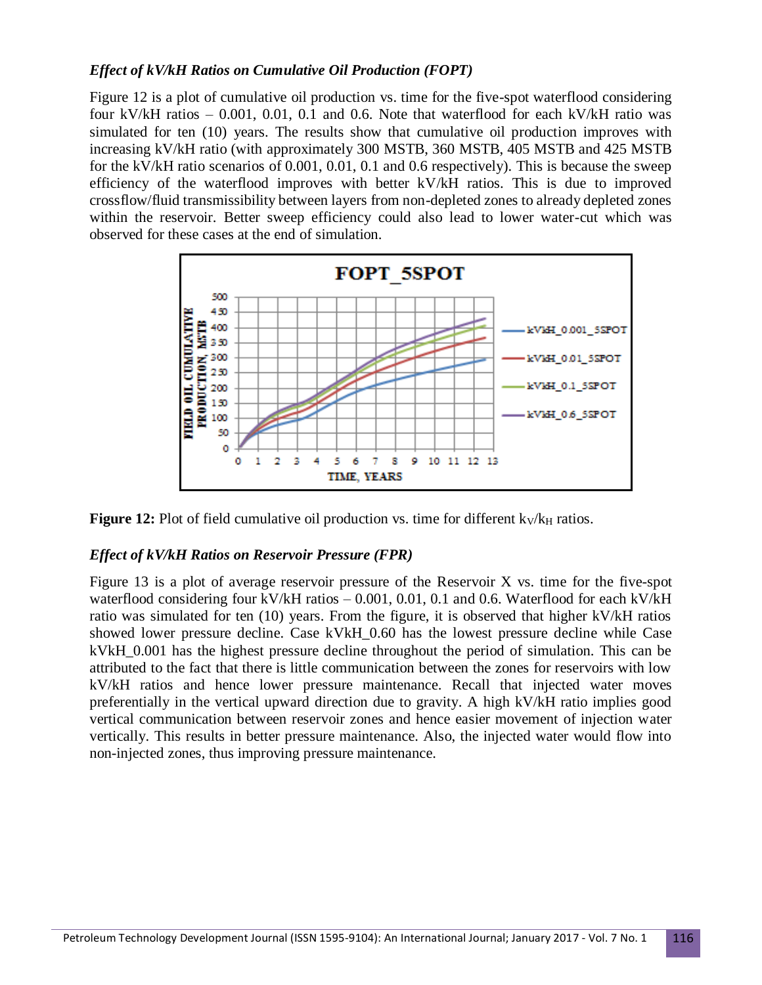### *Effect of kV/kH Ratios on Cumulative Oil Production (FOPT)*

Figure 12 is a plot of cumulative oil production vs. time for the five-spot waterflood considering four kV/kH ratios  $-0.001$ , 0.01, 0.1 and 0.6. Note that waterflood for each kV/kH ratio was simulated for ten (10) years. The results show that cumulative oil production improves with increasing kV/kH ratio (with approximately 300 MSTB, 360 MSTB, 405 MSTB and 425 MSTB for the kV/kH ratio scenarios of 0.001, 0.01, 0.1 and 0.6 respectively). This is because the sweep efficiency of the waterflood improves with better kV/kH ratios. This is due to improved crossflow/fluid transmissibility between layers from non-depleted zones to already depleted zones within the reservoir. Better sweep efficiency could also lead to lower water-cut which was observed for these cases at the end of simulation.



**Figure 12:** Plot of field cumulative oil production vs. time for different k<sub>V</sub>/k<sub>H</sub> ratios.

#### *Effect of kV/kH Ratios on Reservoir Pressure (FPR)*

Figure 13 is a plot of average reservoir pressure of the Reservoir X vs. time for the five-spot waterflood considering four kV/kH ratios  $-0.001, 0.01, 0.1$  and 0.6. Waterflood for each kV/kH ratio was simulated for ten (10) years. From the figure, it is observed that higher kV/kH ratios showed lower pressure decline. Case kVkH\_0.60 has the lowest pressure decline while Case kVkH\_0.001 has the highest pressure decline throughout the period of simulation. This can be attributed to the fact that there is little communication between the zones for reservoirs with low kV/kH ratios and hence lower pressure maintenance. Recall that injected water moves preferentially in the vertical upward direction due to gravity. A high kV/kH ratio implies good vertical communication between reservoir zones and hence easier movement of injection water vertically. This results in better pressure maintenance. Also, the injected water would flow into non-injected zones, thus improving pressure maintenance.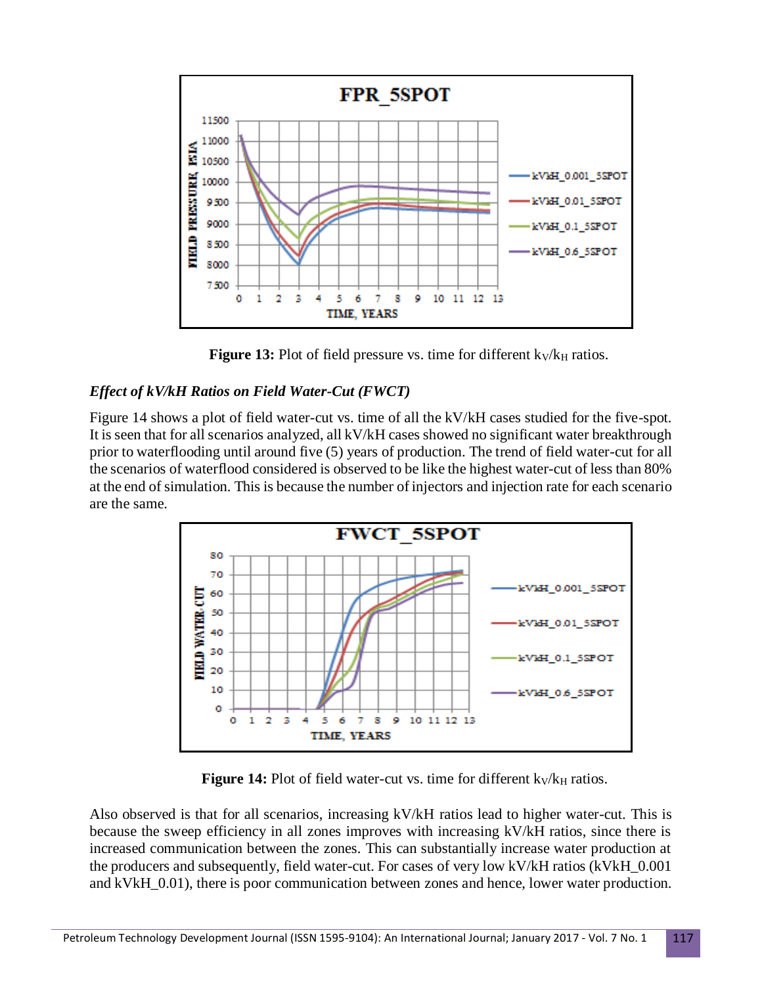

**Figure 13:** Plot of field pressure vs. time for different  $k_V/k_H$  ratios.

## *Effect of kV/kH Ratios on Field Water-Cut (FWCT)*

Figure 14 shows a plot of field water-cut vs. time of all the kV/kH cases studied for the five-spot. It is seen that for all scenarios analyzed, all kV/kH cases showed no significant water breakthrough prior to waterflooding until around five (5) years of production. The trend of field water-cut for all the scenarios of waterflood considered is observed to be like the highest water-cut of less than 80% at the end of simulation. This is because the number of injectors and injection rate for each scenario are the same.



**Figure 14:** Plot of field water-cut vs. time for different k<sub>V</sub>/k<sub>H</sub> ratios.

Also observed is that for all scenarios, increasing kV/kH ratios lead to higher water-cut. This is because the sweep efficiency in all zones improves with increasing kV/kH ratios, since there is increased communication between the zones. This can substantially increase water production at the producers and subsequently, field water-cut. For cases of very low kV/kH ratios (kVkH\_0.001 and kVkH  $0.01$ ), there is poor communication between zones and hence, lower water production.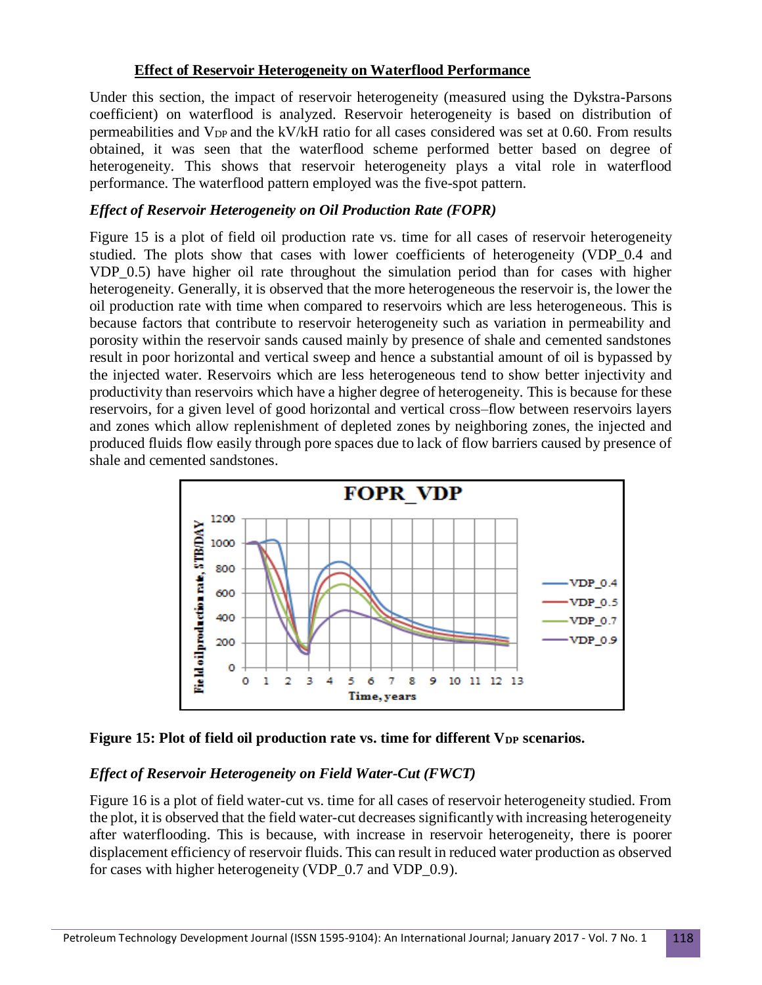### **Effect of Reservoir Heterogeneity on Waterflood Performance**

Under this section, the impact of reservoir heterogeneity (measured using the Dykstra-Parsons coefficient) on waterflood is analyzed. Reservoir heterogeneity is based on distribution of permeabilities and  $V_{DP}$  and the kV/kH ratio for all cases considered was set at 0.60. From results obtained, it was seen that the waterflood scheme performed better based on degree of heterogeneity. This shows that reservoir heterogeneity plays a vital role in waterflood performance. The waterflood pattern employed was the five-spot pattern.

### *Effect of Reservoir Heterogeneity on Oil Production Rate (FOPR)*

Figure 15 is a plot of field oil production rate vs. time for all cases of reservoir heterogeneity studied. The plots show that cases with lower coefficients of heterogeneity (VDP\_0.4 and VDP\_0.5) have higher oil rate throughout the simulation period than for cases with higher heterogeneity. Generally, it is observed that the more heterogeneous the reservoir is, the lower the oil production rate with time when compared to reservoirs which are less heterogeneous. This is because factors that contribute to reservoir heterogeneity such as variation in permeability and porosity within the reservoir sands caused mainly by presence of shale and cemented sandstones result in poor horizontal and vertical sweep and hence a substantial amount of oil is bypassed by the injected water. Reservoirs which are less heterogeneous tend to show better injectivity and productivity than reservoirs which have a higher degree of heterogeneity. This is because for these reservoirs, for a given level of good horizontal and vertical cross–flow between reservoirs layers and zones which allow replenishment of depleted zones by neighboring zones, the injected and produced fluids flow easily through pore spaces due to lack of flow barriers caused by presence of shale and cemented sandstones.



**Figure 15: Plot of field oil production rate vs. time for different V<sub>DP</sub> scenarios.** 

## *Effect of Reservoir Heterogeneity on Field Water-Cut (FWCT)*

Figure 16 is a plot of field water-cut vs. time for all cases of reservoir heterogeneity studied. From the plot, it is observed that the field water-cut decreases significantly with increasing heterogeneity after waterflooding. This is because, with increase in reservoir heterogeneity, there is poorer displacement efficiency of reservoir fluids. This can result in reduced water production as observed for cases with higher heterogeneity (VDP\_0.7 and VDP\_0.9).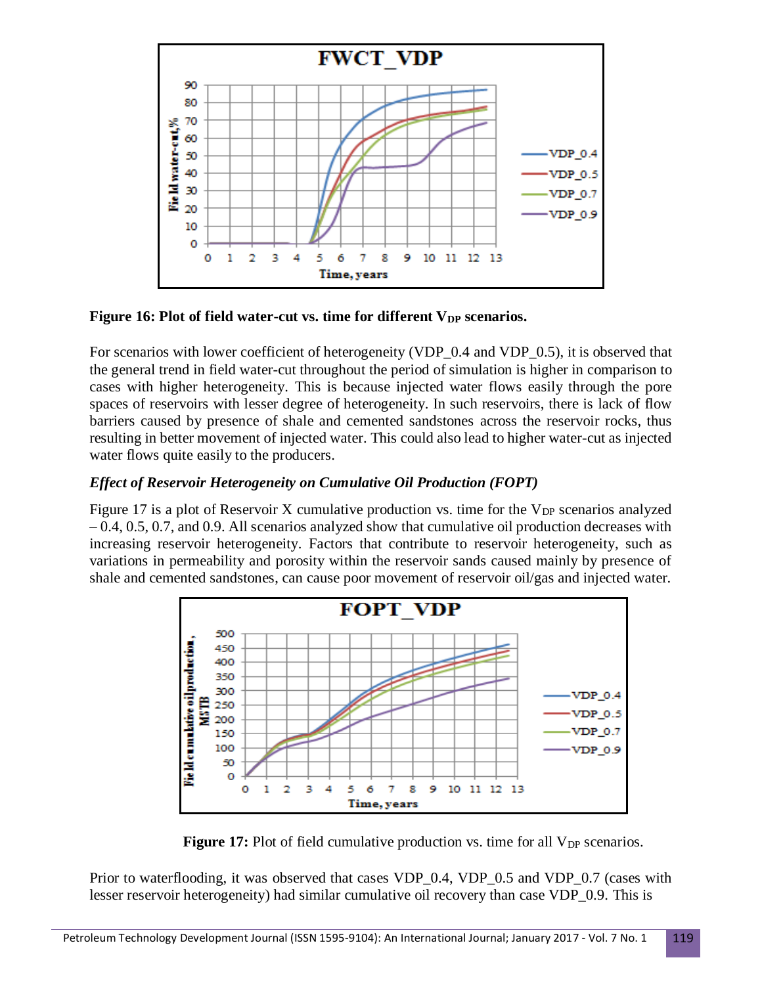

**Figure 16: Plot of field water-cut vs. time for different V<sub>DP</sub> scenarios.** 

For scenarios with lower coefficient of heterogeneity (VDP\_0.4 and VDP\_0.5), it is observed that the general trend in field water-cut throughout the period of simulation is higher in comparison to cases with higher heterogeneity. This is because injected water flows easily through the pore spaces of reservoirs with lesser degree of heterogeneity. In such reservoirs, there is lack of flow barriers caused by presence of shale and cemented sandstones across the reservoir rocks, thus resulting in better movement of injected water. This could also lead to higher water-cut as injected water flows quite easily to the producers.

## *Effect of Reservoir Heterogeneity on Cumulative Oil Production (FOPT)*

Figure 17 is a plot of Reservoir X cumulative production vs. time for the  $V_{DP}$  scenarios analyzed – 0.4, 0.5, 0.7, and 0.9. All scenarios analyzed show that cumulative oil production decreases with increasing reservoir heterogeneity. Factors that contribute to reservoir heterogeneity, such as variations in permeability and porosity within the reservoir sands caused mainly by presence of shale and cemented sandstones, can cause poor movement of reservoir oil/gas and injected water.



**Figure 17:** Plot of field cumulative production vs. time for all V<sub>DP</sub> scenarios.

Prior to waterflooding, it was observed that cases VDP\_0.4, VDP\_0.5 and VDP\_0.7 (cases with lesser reservoir heterogeneity) had similar cumulative oil recovery than case VDP\_0.9. This is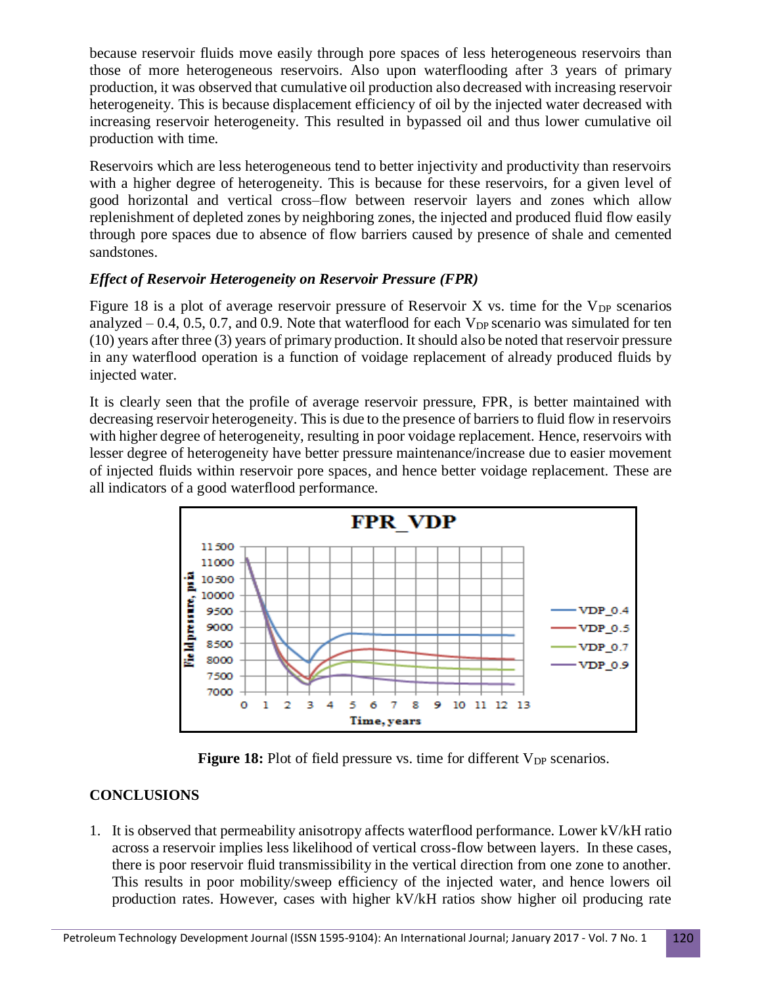because reservoir fluids move easily through pore spaces of less heterogeneous reservoirs than those of more heterogeneous reservoirs. Also upon waterflooding after 3 years of primary production, it was observed that cumulative oil production also decreased with increasing reservoir heterogeneity. This is because displacement efficiency of oil by the injected water decreased with increasing reservoir heterogeneity. This resulted in bypassed oil and thus lower cumulative oil production with time.

Reservoirs which are less heterogeneous tend to better injectivity and productivity than reservoirs with a higher degree of heterogeneity. This is because for these reservoirs, for a given level of good horizontal and vertical cross–flow between reservoir layers and zones which allow replenishment of depleted zones by neighboring zones, the injected and produced fluid flow easily through pore spaces due to absence of flow barriers caused by presence of shale and cemented sandstones.

## *Effect of Reservoir Heterogeneity on Reservoir Pressure (FPR)*

Figure 18 is a plot of average reservoir pressure of Reservoir X vs. time for the  $V_{DP}$  scenarios analyzed  $-0.4$ , 0.5, 0.7, and 0.9. Note that waterflood for each  $V_{DP}$  scenario was simulated for ten (10) years after three (3) years of primary production. It should also be noted that reservoir pressure in any waterflood operation is a function of voidage replacement of already produced fluids by injected water.

It is clearly seen that the profile of average reservoir pressure, FPR, is better maintained with decreasing reservoir heterogeneity. This is due to the presence of barriers to fluid flow in reservoirs with higher degree of heterogeneity, resulting in poor voidage replacement. Hence, reservoirs with lesser degree of heterogeneity have better pressure maintenance/increase due to easier movement of injected fluids within reservoir pore spaces, and hence better voidage replacement. These are all indicators of a good waterflood performance.



**Figure 18:** Plot of field pressure vs. time for different V<sub>DP</sub> scenarios.

# **CONCLUSIONS**

1. It is observed that permeability anisotropy affects waterflood performance. Lower kV/kH ratio across a reservoir implies less likelihood of vertical cross-flow between layers. In these cases, there is poor reservoir fluid transmissibility in the vertical direction from one zone to another. This results in poor mobility/sweep efficiency of the injected water, and hence lowers oil production rates. However, cases with higher kV/kH ratios show higher oil producing rate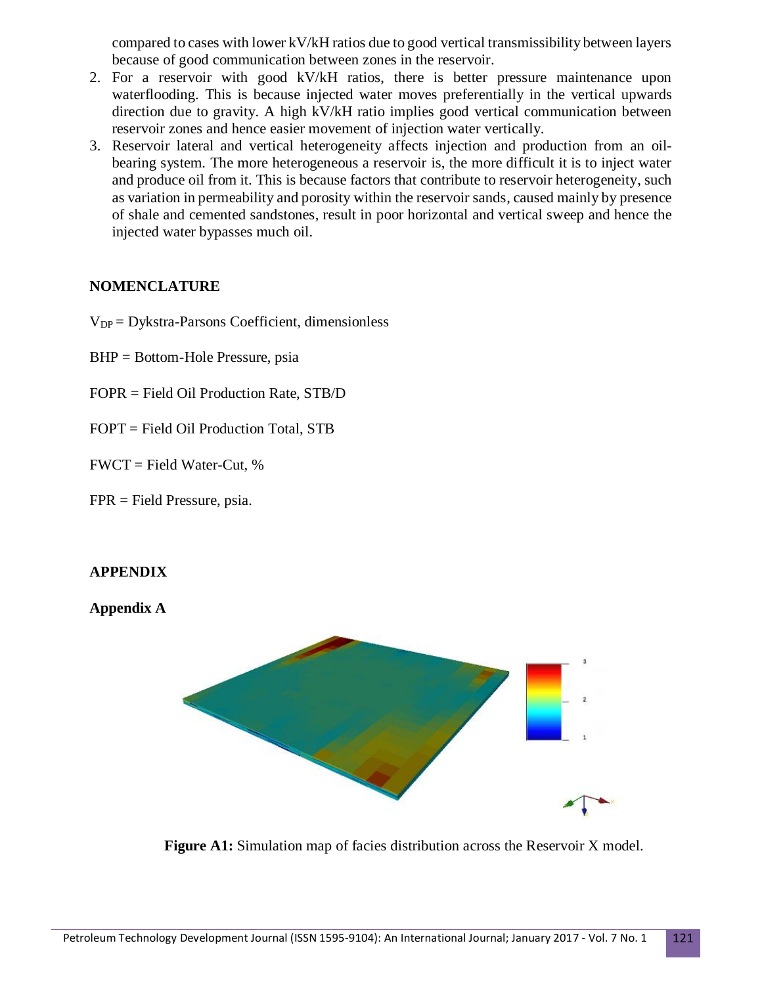compared to cases with lower kV/kH ratios due to good vertical transmissibility between layers because of good communication between zones in the reservoir.

- 2. For a reservoir with good kV/kH ratios, there is better pressure maintenance upon waterflooding. This is because injected water moves preferentially in the vertical upwards direction due to gravity. A high kV/kH ratio implies good vertical communication between reservoir zones and hence easier movement of injection water vertically.
- 3. Reservoir lateral and vertical heterogeneity affects injection and production from an oilbearing system. The more heterogeneous a reservoir is, the more difficult it is to inject water and produce oil from it. This is because factors that contribute to reservoir heterogeneity, such as variation in permeability and porosity within the reservoir sands, caused mainly by presence of shale and cemented sandstones, result in poor horizontal and vertical sweep and hence the injected water bypasses much oil.

### **NOMENCLATURE**

- $V_{DP} = Dykstra-Parsons Coefficient, dimensionless$
- BHP = Bottom-Hole Pressure, psia
- FOPR = Field Oil Production Rate, STB/D
- FOPT = Field Oil Production Total, STB
- $FWCT = Field Water-Cut, %$
- FPR = Field Pressure, psia.

#### **APPENDIX**

#### **Appendix A**



**Figure A1:** Simulation map of facies distribution across the Reservoir X model.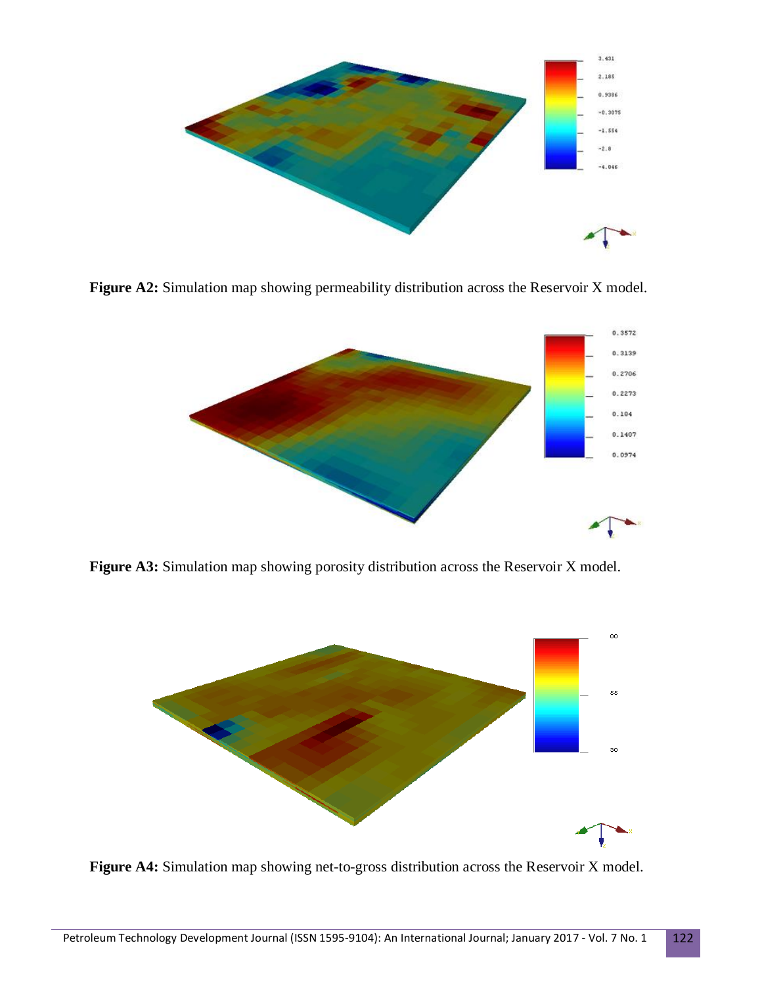

Figure A2: Simulation map showing permeability distribution across the Reservoir X model.



**Figure A3:** Simulation map showing porosity distribution across the Reservoir X model.



**Figure A4:** Simulation map showing net-to-gross distribution across the Reservoir X model.